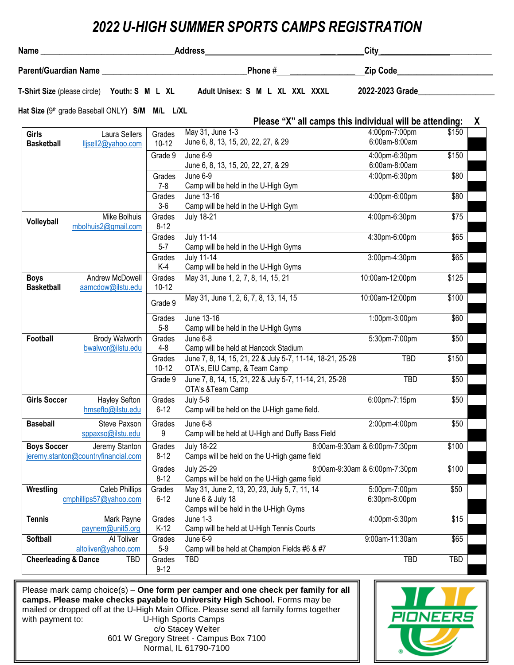## *2022 U-HIGH SUMMER SPORTS CAMPS REGISTRATION*

|                                                             |          |                                                           | <b>City</b>                                   |                   |
|-------------------------------------------------------------|----------|-----------------------------------------------------------|-----------------------------------------------|-------------------|
|                                                             |          | <b>Phone</b> $#$                                          | Zip Code <u>New York State Administrative</u> |                   |
| T-Shirt Size (please circle) Youth: S M L XL                |          | Adult Unisex: S M L XL XXL XXXL                           | 2022-2023 Grade 2022-2023                     |                   |
| Hat Size (9 <sup>th</sup> grade Baseball ONLY) S/M M/L L/XL |          |                                                           |                                               |                   |
|                                                             |          | Please "X" all camps this individual will be attending:   |                                               | X                 |
| <b>Girls</b><br><b>Laura Sellers</b>                        | Grades   | May 31, June 1-3                                          | 4:00pm-7:00pm                                 | \$150             |
| <b>Basketball</b><br>lljsell2@yahoo.com                     | $10-12$  | June 6, 8, 13, 15, 20, 22, 27, & 29                       | 6:00am-8:00am                                 |                   |
|                                                             | Grade 9  | June 6-9                                                  | 4:00pm-6:30pm                                 | \$150             |
|                                                             |          | June 6, 8, 13, 15, 20, 22, 27, & 29                       | 6:00am-8:00am                                 |                   |
|                                                             | Grades   | June 6-9                                                  | 4:00pm-6:30pm                                 | \$80              |
|                                                             | $7 - 8$  | Camp will be held in the U-High Gym                       |                                               |                   |
|                                                             | Grades   | June 13-16                                                | 4:00pm-6:00pm                                 | \$80              |
|                                                             | $3-6$    | Camp will be held in the U-High Gym                       |                                               |                   |
| Mike Bolhuis                                                | Grades   | <b>July 18-21</b>                                         | 4:00pm-6:30pm                                 | \$75              |
| Volleyball<br>mbolhuis2@gmail.com                           | $8 - 12$ |                                                           |                                               |                   |
|                                                             | Grades   | <b>July 11-14</b>                                         | 4:30pm-6:00pm                                 | \$65              |
|                                                             | $5 - 7$  | Camp will be held in the U-High Gyms                      |                                               |                   |
|                                                             | Grades   | <b>July 11-14</b>                                         | 3:00pm-4:30pm                                 | \$65              |
|                                                             | K-4      | Camp will be held in the U-High Gyms                      |                                               |                   |
| Andrew McDowell<br><b>Boys</b>                              | Grades   | May 31, June 1, 2, 7, 8, 14, 15, 21                       | 10:00am-12:00pm                               | \$125             |
| <b>Basketball</b><br>aamcdow@ilstu.edu                      | $10-12$  |                                                           |                                               |                   |
|                                                             | Grade 9  | May 31, June 1, 2, 6, 7, 8, 13, 14, 15                    | 10:00am-12:00pm                               | \$100             |
|                                                             | Grades   | June 13-16                                                | 1:00pm-3:00pm                                 | \$60              |
|                                                             | $5-8$    | Camp will be held in the U-High Gyms                      |                                               |                   |
| Brody Walworth<br>Football                                  | Grades   | June 6-8                                                  | 5:30pm-7:00pm                                 | $\overline{$}50$  |
| bwalwor@ilstu.edu                                           | $4 - 8$  | Camp will be held at Hancock Stadium                      |                                               |                   |
|                                                             | Grades   | June 7, 8, 14, 15, 21, 22 & July 5-7, 11-14, 18-21, 25-28 | <b>TBD</b>                                    | $\overline{$}150$ |
|                                                             | $10-12$  | OTA's, EIU Camp, & Team Camp                              |                                               |                   |
|                                                             | Grade 9  | June 7, 8, 14, 15, 21, 22 & July 5-7, 11-14, 21, 25-28    | <b>TBD</b>                                    | \$50              |
|                                                             |          | OTA's &Team Camp                                          |                                               |                   |
| <b>Girls Soccer</b><br>Hayley Sefton                        | Grades   | <b>July 5-8</b>                                           | 6:00pm-7:15pm                                 | \$50              |
| hmsefto@ilstu.edu                                           | $6 - 12$ | Camp will be held on the U-High game field.               |                                               |                   |
|                                                             |          |                                                           |                                               |                   |
| <b>Baseball</b><br>Steve Paxson                             | Grades   | June $6-8$                                                | 2:00pm-4:00pm                                 | \$50              |
| sppaxso@ilstu.edu                                           | 9        | Camp will be held at U-High and Duffy Bass Field          |                                               |                   |
| <b>Boys Soccer</b><br>Jeremy Stanton                        | Grades   | <b>July 18-22</b>                                         | 8:00am-9:30am & 6:00pm-7:30pm                 | \$100             |
| jeremy.stanton@countryfinancial.com                         | $8 - 12$ | Camps will be held on the U-High game field               |                                               |                   |
|                                                             | Grades   | <b>July 25-29</b>                                         | 8:00am-9:30am & 6:00pm-7:30pm                 | \$100             |
|                                                             | $8 - 12$ | Camps will be held on the U-High game field               |                                               |                   |
| Wrestling<br><b>Caleb Phillips</b>                          | Grades   | May 31, June 2, 13, 20, 23, July 5, 7, 11, 14             | 5:00pm-7:00pm                                 | \$50              |
| cmphillips57@yahoo.com                                      | $6 - 12$ | June 6 & July 18                                          | 6:30pm-8:00pm                                 |                   |
|                                                             |          | Camps will be held in the U-High Gyms                     |                                               |                   |
| <b>Tennis</b><br>Mark Payne                                 | Grades   | June 1-3                                                  | 4:00pm-5:30pm                                 | \$15              |
| paynem@unit5.org                                            | $K-12$   | Camp will be held at U-High Tennis Courts                 |                                               |                   |
| <b>Softball</b><br>Al Toliver                               | Grades   | June 6-9                                                  | 9:00am-11:30am                                | \$65              |
| altoliver@yahoo.com                                         | $5-9$    | Camp will be held at Champion Fields #6 & #7              |                                               |                   |
| <b>Cheerleading &amp; Dance</b><br>TBD                      | Grades   | TBD                                                       | TBD                                           | TBD               |
|                                                             | $9 - 12$ |                                                           |                                               |                   |

Please mark camp choice(s) – **One form per camper and one check per family for all camps. Please make checks payable to University High School.** Forms may be mailed or dropped off at the U-High Main Office. Please send all family forms together<br>with payment to: U-High Sports Camps U-High Sports Camps c/o Stacey Welter 601 W Gregory Street - Campus Box 7100 Normal, IL 61790-7100